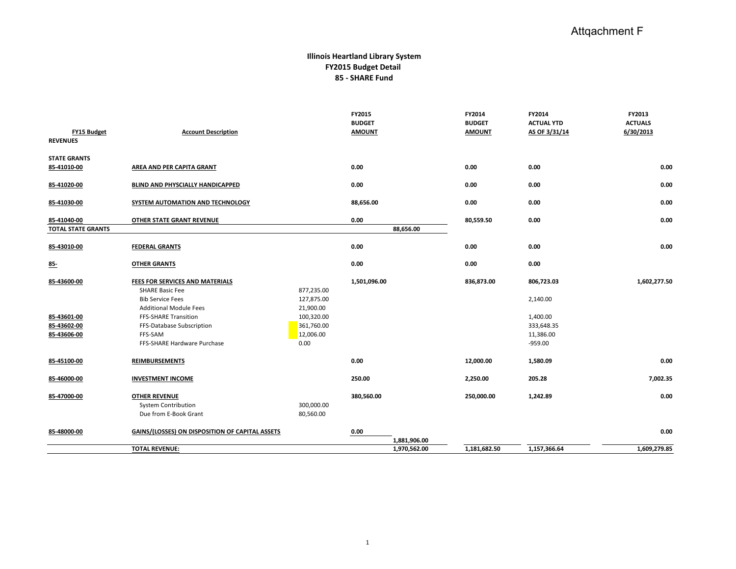## Attqachment F

## **Illinois Heartland Library System FY2015 Budget Detail 85 - SHARE Fund**

| <b>FY15 Budget</b><br><b>REVENUES</b>                    | <b>Account Description</b>                                                                                                                                                                                                  |                                                                                        | FY2015<br><b>BUDGET</b><br><b>AMOUNT</b> | FY2014<br><b>BUDGET</b><br><b>AMOUNT</b> | FY2014<br><b>ACTUAL YTD</b><br>AS OF 3/31/14                               | FY2013<br><b>ACTUALS</b><br>6/30/2013 |
|----------------------------------------------------------|-----------------------------------------------------------------------------------------------------------------------------------------------------------------------------------------------------------------------------|----------------------------------------------------------------------------------------|------------------------------------------|------------------------------------------|----------------------------------------------------------------------------|---------------------------------------|
| <b>STATE GRANTS</b><br>85-41010-00                       | AREA AND PER CAPITA GRANT                                                                                                                                                                                                   |                                                                                        | 0.00                                     | 0.00                                     | 0.00                                                                       | 0.00                                  |
| 85-41020-00                                              | BLIND AND PHYSCIALLY HANDICAPPED                                                                                                                                                                                            |                                                                                        | 0.00                                     | 0.00                                     | 0.00                                                                       | 0.00                                  |
| 85-41030-00                                              | SYSTEM AUTOMATION AND TECHNOLOGY                                                                                                                                                                                            |                                                                                        | 88,656.00                                | 0.00                                     | 0.00                                                                       | 0.00                                  |
| 85-41040-00<br><b>TOTAL STATE GRANTS</b>                 | OTHER STATE GRANT REVENUE                                                                                                                                                                                                   |                                                                                        | 0.00<br>88,656.00                        | 80,559.50                                | 0.00                                                                       | 0.00                                  |
| 85-43010-00                                              | <b>FEDERAL GRANTS</b>                                                                                                                                                                                                       |                                                                                        | 0.00                                     | 0.00                                     | 0.00                                                                       | 0.00                                  |
| 85-                                                      | <b>OTHER GRANTS</b>                                                                                                                                                                                                         |                                                                                        | 0.00                                     | 0.00                                     | 0.00                                                                       |                                       |
| 85-43600-00<br>85-43601-00<br>85-43602-00<br>85-43606-00 | FEES FOR SERVICES AND MATERIALS<br><b>SHARE Basic Fee</b><br><b>Bib Service Fees</b><br><b>Additional Module Fees</b><br><b>FFS-SHARE Transition</b><br>FFS-Database Subscription<br>FFS-SAM<br>FFS-SHARE Hardware Purchase | 877,235.00<br>127,875.00<br>21,900.00<br>100,320.00<br>361,760.00<br>12,006.00<br>0.00 | 1,501,096.00                             | 836,873.00                               | 806,723.03<br>2,140.00<br>1,400.00<br>333,648.35<br>11,386.00<br>$-959.00$ | 1,602,277.50                          |
| 85-45100-00                                              | <b>REIMBURSEMENTS</b>                                                                                                                                                                                                       |                                                                                        | 0.00                                     | 12,000.00                                | 1,580.09                                                                   | 0.00                                  |
| 85-46000-00                                              | <b>INVESTMENT INCOME</b>                                                                                                                                                                                                    |                                                                                        | 250.00                                   | 2,250.00                                 | 205.28                                                                     | 7,002.35                              |
| 85-47000-00                                              | <b>OTHER REVENUE</b><br><b>System Contribution</b><br>Due from E-Book Grant                                                                                                                                                 | 300,000.00<br>80,560.00                                                                | 380,560.00                               | 250,000.00                               | 1,242.89                                                                   | 0.00                                  |
| 85-48000-00                                              | GAINS/(LOSSES) ON DISPOSITION OF CAPITAL ASSETS                                                                                                                                                                             |                                                                                        | 0.00<br>1,881,906.00                     |                                          |                                                                            | 0.00                                  |
|                                                          | <b>TOTAL REVENUE:</b>                                                                                                                                                                                                       |                                                                                        | 1,970,562.00                             | 1,181,682.50                             | 1,157,366.64                                                               | 1,609,279.85                          |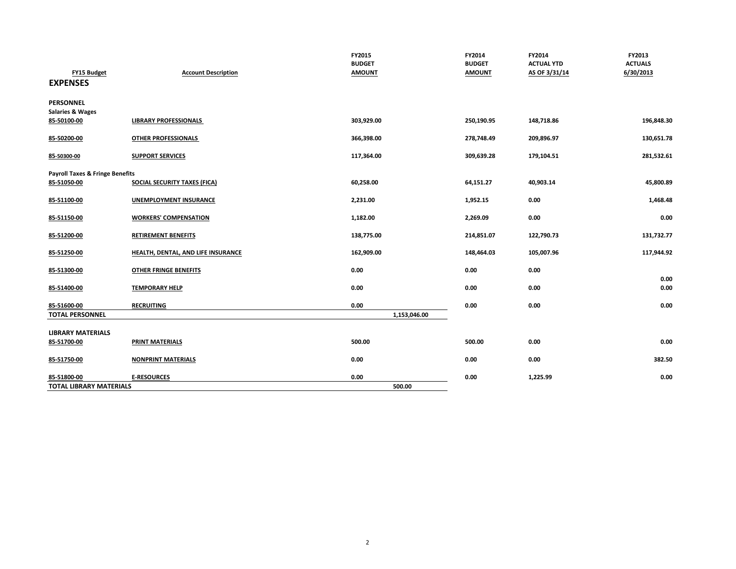| <b>FY15 Budget</b><br><b>EXPENSES</b>      | <b>Account Description</b>          | FY2015<br><b>BUDGET</b><br><b>AMOUNT</b> | FY2014<br><b>BUDGET</b><br><b>AMOUNT</b> | FY2014<br><b>ACTUAL YTD</b><br>AS OF 3/31/14 | FY2013<br><b>ACTUALS</b><br>6/30/2013 |
|--------------------------------------------|-------------------------------------|------------------------------------------|------------------------------------------|----------------------------------------------|---------------------------------------|
| <b>PERSONNEL</b>                           |                                     |                                          |                                          |                                              |                                       |
| <b>Salaries &amp; Wages</b>                |                                     |                                          |                                          |                                              |                                       |
| 85-50100-00                                | <b>LIBRARY PROFESSIONALS</b>        | 303,929.00                               | 250,190.95                               | 148,718.86                                   | 196,848.30                            |
| 85-50200-00                                | <b>OTHER PROFESSIONALS</b>          | 366,398.00                               | 278,748.49                               | 209,896.97                                   | 130,651.78                            |
| 85-50300-00                                | <b>SUPPORT SERVICES</b>             | 117,364.00                               | 309,639.28                               | 179,104.51                                   | 281,532.61                            |
| <b>Payroll Taxes &amp; Fringe Benefits</b> |                                     |                                          |                                          |                                              |                                       |
| 85-51050-00                                | <b>SOCIAL SECURITY TAXES (FICA)</b> | 60,258.00                                | 64,151.27                                | 40,903.14                                    | 45,800.89                             |
| 85-51100-00                                | UNEMPLOYMENT INSURANCE              | 2,231.00                                 | 1,952.15                                 | 0.00                                         | 1,468.48                              |
| 85-51150-00                                | <b>WORKERS' COMPENSATION</b>        | 1,182.00                                 | 2,269.09                                 | 0.00                                         | 0.00                                  |
| 85-51200-00                                | <b>RETIREMENT BENEFITS</b>          | 138,775.00                               | 214,851.07                               | 122,790.73                                   | 131,732.77                            |
| 85-51250-00                                | HEALTH, DENTAL, AND LIFE INSURANCE  | 162,909.00                               | 148,464.03                               | 105,007.96                                   | 117,944.92                            |
| 85-51300-00                                | <b>OTHER FRINGE BENEFITS</b>        | 0.00                                     | 0.00                                     | 0.00                                         |                                       |
| 85-51400-00                                | <b>TEMPORARY HELP</b>               | 0.00                                     | 0.00                                     | 0.00                                         | 0.00<br>0.00                          |
| 85-51600-00                                | <b>RECRUITING</b>                   | 0.00                                     | 0.00                                     | 0.00                                         | 0.00                                  |
| <b>TOTAL PERSONNEL</b>                     |                                     | 1,153,046.00                             |                                          |                                              |                                       |
| <b>LIBRARY MATERIALS</b>                   |                                     |                                          |                                          |                                              |                                       |
| 85-51700-00                                | <b>PRINT MATERIALS</b>              | 500.00                                   | 500.00                                   | 0.00                                         | 0.00                                  |
| 85-51750-00                                | <b>NONPRINT MATERIALS</b>           | 0.00                                     | 0.00                                     | 0.00                                         | 382.50                                |
| 85-51800-00                                | <b>E-RESOURCES</b>                  | 0.00                                     | 0.00                                     | 1,225.99                                     | 0.00                                  |
| <b>TOTAL LIBRARY MATERIALS</b>             |                                     | 500.00                                   |                                          |                                              |                                       |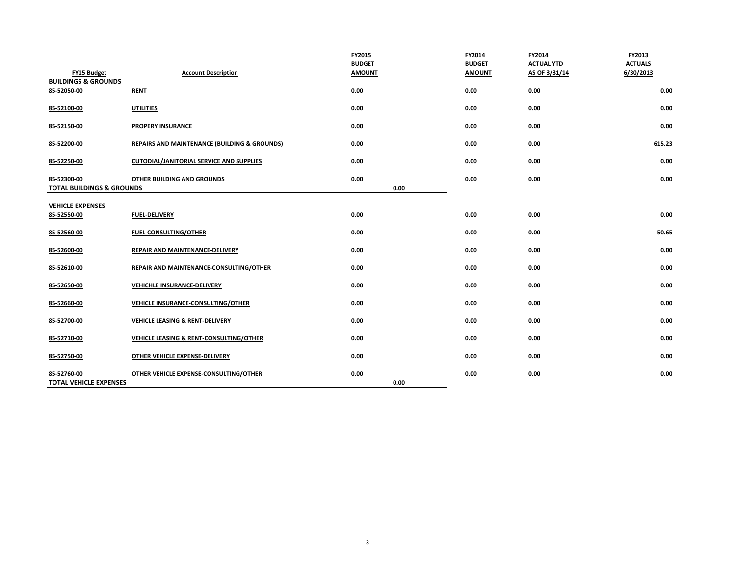|                                               |                                                         | FY2015<br><b>BUDGET</b> | FY2014<br><b>BUDGET</b> | FY2014<br><b>ACTUAL YTD</b> | FY2013<br><b>ACTUALS</b> |
|-----------------------------------------------|---------------------------------------------------------|-------------------------|-------------------------|-----------------------------|--------------------------|
| FY15 Budget<br><b>BUILDINGS &amp; GROUNDS</b> | <b>Account Description</b>                              | <b>AMOUNT</b>           | <b>AMOUNT</b>           | AS OF 3/31/14               | 6/30/2013                |
| 85-52050-00                                   | <b>RENT</b>                                             | 0.00                    | 0.00                    | 0.00                        | 0.00                     |
| 85-52100-00                                   | <b>UTILITIES</b>                                        | 0.00                    | 0.00                    | 0.00                        | 0.00                     |
| 85-52150-00                                   | <b>PROPERY INSURANCE</b>                                | 0.00                    | 0.00                    | 0.00                        | 0.00                     |
| 85-52200-00                                   | <b>REPAIRS AND MAINTENANCE (BUILDING &amp; GROUNDS)</b> | 0.00                    | 0.00                    | 0.00                        | 615.23                   |
| 85-52250-00                                   | <b>CUTODIAL/JANITORIAL SERVICE AND SUPPLIES</b>         | 0.00                    | 0.00                    | 0.00                        | 0.00                     |
| 85-52300-00                                   | OTHER BUILDING AND GROUNDS                              | 0.00                    | 0.00                    | 0.00                        | 0.00                     |
| <b>TOTAL BUILDINGS &amp; GROUNDS</b>          |                                                         | 0.00                    |                         |                             |                          |
| <b>VEHICLE EXPENSES</b>                       |                                                         |                         |                         |                             |                          |
| 85-52550-00                                   | <b>FUEL-DELIVERY</b>                                    | 0.00                    | 0.00                    | 0.00                        | 0.00                     |
| 85-52560-00                                   | FUEL-CONSULTING/OTHER                                   | 0.00                    | 0.00                    | 0.00                        | 50.65                    |
| 85-52600-00                                   | REPAIR AND MAINTENANCE-DELIVERY                         | 0.00                    | 0.00                    | 0.00                        | 0.00                     |
| 85-52610-00                                   | REPAIR AND MAINTENANCE-CONSULTING/OTHER                 | 0.00                    | 0.00                    | 0.00                        | 0.00                     |
| 85-52650-00                                   | VEHICHLE INSURANCE-DELIVERY                             | 0.00                    | 0.00                    | 0.00                        | 0.00                     |
| 85-52660-00                                   | VEHICLE INSURANCE-CONSULTING/OTHER                      | 0.00                    | 0.00                    | 0.00                        | 0.00                     |
| 85-52700-00                                   | VEHICLE LEASING & RENT-DELIVERY                         | 0.00                    | 0.00                    | 0.00                        | 0.00                     |
| 85-52710-00                                   | VEHICLE LEASING & RENT-CONSULTING/OTHER                 | 0.00                    | 0.00                    | 0.00                        | 0.00                     |
| 85-52750-00                                   | OTHER VEHICLE EXPENSE-DELIVERY                          | 0.00                    | 0.00                    | 0.00                        | 0.00                     |
| 85-52760-00                                   | OTHER VEHICLE EXPENSE-CONSULTING/OTHER                  | 0.00                    | 0.00                    | 0.00                        | 0.00                     |
| <b>TOTAL VEHICLE EXPENSES</b>                 |                                                         | 0.00                    |                         |                             |                          |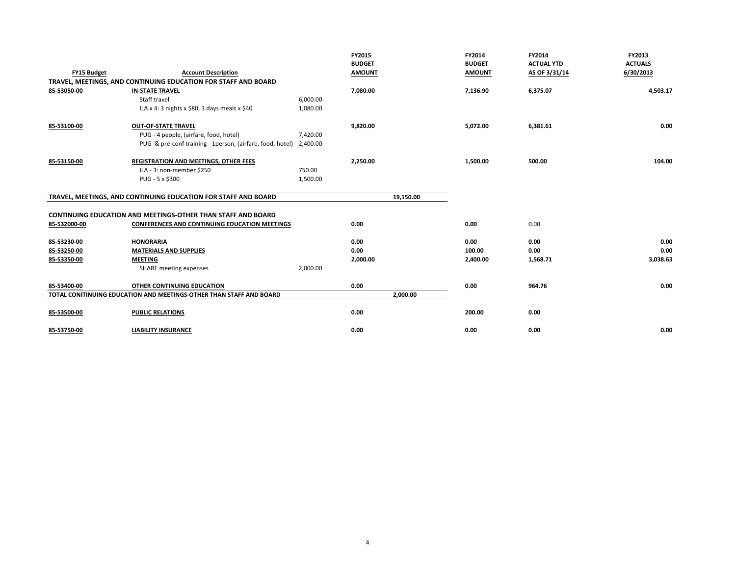|                    |                                                                     |          | FY2015<br><b>BUDGET</b> | <b>FY2014</b><br><b>BUDGET</b> | FY2014<br><b>ACTUAL YTD</b> | FY2013<br><b>ACTUALS</b> |
|--------------------|---------------------------------------------------------------------|----------|-------------------------|--------------------------------|-----------------------------|--------------------------|
| <b>FY15 Budget</b> | <b>Account Description</b>                                          |          | <b>AMOUNT</b>           | <b>AMOUNT</b>                  | AS OF 3/31/14               | 6/30/2013                |
|                    | TRAVEL, MEETINGS, AND CONTINUING EDUCATION FOR STAFF AND BOARD      |          |                         |                                |                             |                          |
| 85-53050-00        | <b>IN-STATE TRAVEL</b>                                              |          | 7,080.00                | 7,136.90                       | 6,375.07                    | 4,503.17                 |
|                    | Staff travel                                                        | 6,000.00 |                         |                                |                             |                          |
|                    | ILA x 4: 3 nights x \$80, 3 days meals x \$40                       | 1,080.00 |                         |                                |                             |                          |
| 85-53100-00        | <b>OUT-OF-STATE TRAVEL</b>                                          |          | 9,820.00                | 5,072.00                       | 6,381.61                    | 0.00                     |
|                    | PUG - 4 people, (airfare, food, hotel)                              | 7,420.00 |                         |                                |                             |                          |
|                    | PUG & pre-conf training - 1person, (airfare, food, hotel)           | 2,400.00 |                         |                                |                             |                          |
| 85-53150-00        | REGISTRATION AND MEETINGS, OTHER FEES                               |          | 2,250.00                | 1,500.00                       | 500.00                      | 104.00                   |
|                    | ILA - 3: non-member \$250                                           | 750.00   |                         |                                |                             |                          |
|                    | PUG - 5 x \$300                                                     | 1,500.00 |                         |                                |                             |                          |
|                    |                                                                     |          |                         |                                |                             |                          |
|                    | TRAVEL, MEETINGS, AND CONTINUING EDUCATION FOR STAFF AND BOARD      |          | 19,150.00               |                                |                             |                          |
|                    |                                                                     |          |                         |                                |                             |                          |
|                    | <b>CONTINUING EDUCATION AND MEETINGS-OTHER THAN STAFF AND BOARD</b> |          |                         |                                |                             |                          |
| 85-532000-00       | CONFERENCES AND CONTINUING EDUCATION MEETINGS                       |          | 0.00                    | 0.00                           | 0.00                        |                          |
| 85-53230-00        | <b>HONORARIA</b>                                                    |          | 0.00                    | 0.00                           | 0.00                        | 0.00                     |
| 85-53250-00        | <b>MATERIALS AND SUPPLIES</b>                                       |          | 0.00                    | 100.00                         | 0.00                        | 0.00                     |
| 85-53350-00        | <b>MEETING</b>                                                      |          | 2,000.00                | 2,400.00                       | 1,568.71                    | 3,038.63                 |
|                    | <b>SHARE</b> meeting expenses                                       | 2,000.00 |                         |                                |                             |                          |
| 85-53400-00        | OTHER CONTINUING EDUCATION                                          |          | 0.00                    | 0.00                           | 964.76                      | 0.00                     |
|                    | TOTAL CONITINUING EDUCATION AND MEETINGS-OTHER THAN STAFF AND BOARD |          | 2,000.00                |                                |                             |                          |
|                    |                                                                     |          |                         |                                |                             |                          |
| 85-53500-00        | <b>PUBLIC RELATIONS</b>                                             |          | 0.00                    | 200.00                         | 0.00                        |                          |
|                    |                                                                     |          |                         |                                |                             | 0.00                     |
| 85-53750-00        | <b>LIABILITY INSURANCE</b>                                          |          | 0.00                    | 0.00                           | 0.00                        |                          |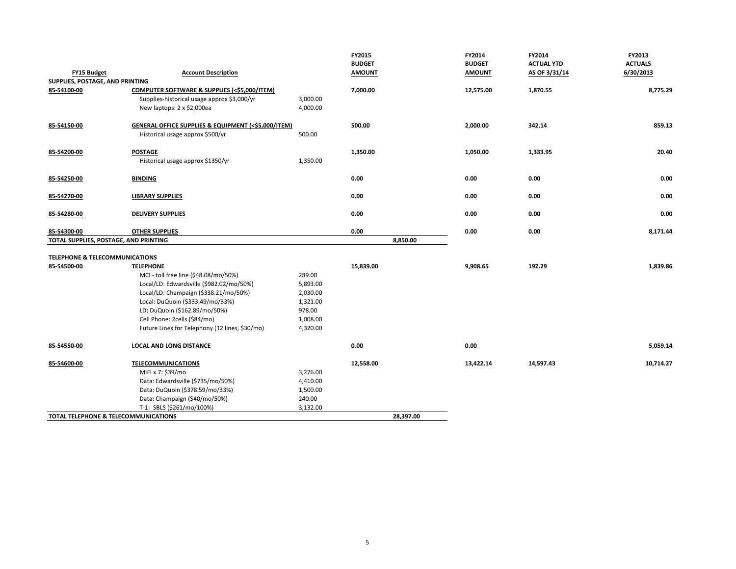|                                                                                          |                                                                      | FY2015<br><b>BUDGET</b> |           | FY2014                         | FY2014<br><b>ACTUAL YTD</b> | FY2013<br><b>ACTUALS</b> |
|------------------------------------------------------------------------------------------|----------------------------------------------------------------------|-------------------------|-----------|--------------------------------|-----------------------------|--------------------------|
| <b>FY15 Budget</b>                                                                       | <b>Account Description</b>                                           | <b>AMOUNT</b>           |           | <b>BUDGET</b><br><b>AMOUNT</b> | AS OF 3/31/14               | 6/30/2013                |
| SUPPLIES, POSTAGE, AND PRINTING                                                          |                                                                      |                         |           |                                |                             |                          |
| 85-54100-00<br>Supplies-historical usage approx \$3,000/yr<br>New laptops: 2 x \$2,000ea | COMPUTER SOFTWARE & SUPPLIES (<\$5,000/ITEM)<br>3,000.00<br>4,000.00 | 7,000.00                |           | 12,575.00                      | 1,870.55                    | 8,775.29                 |
| 85-54150-00<br>Historical usage approx \$500/yr                                          | GENERAL OFFICE SUPPLIES & EQUIPMENT (<\$5,000/ITEM)<br>500.00        | 500.00                  |           | 2,000.00                       | 342.14                      | 859.13                   |
| 85-54200-00<br><b>POSTAGE</b><br>Historical usage approx \$1350/yr                       | 1,350.00                                                             | 1,350.00                |           | 1,050.00                       | 1,333.95                    | 20.40                    |
| 85-54250-00<br><b>BINDING</b>                                                            |                                                                      | 0.00                    |           | 0.00                           | 0.00                        | 0.00                     |
| 85-54270-00<br><b>LIBRARY SUPPLIES</b>                                                   |                                                                      | 0.00                    |           | 0.00                           | 0.00                        | 0.00                     |
| 85-54280-00<br><b>DELIVERY SUPPLIES</b>                                                  |                                                                      | 0.00                    |           | 0.00                           | 0.00                        | 0.00                     |
| 85-54300-00<br><b>OTHER SUPPLIES</b>                                                     |                                                                      | 0.00                    |           | 0.00                           | 0.00                        | 8,171.44                 |
| TOTAL SUPPLIES, POSTAGE, AND PRINTING                                                    |                                                                      |                         | 8,850.00  |                                |                             |                          |
|                                                                                          |                                                                      |                         |           |                                |                             |                          |
| TELEPHONE & TELECOMMUNICATIONS                                                           |                                                                      |                         |           |                                |                             |                          |
| 85-54500-00<br><b>TELEPHONE</b>                                                          |                                                                      | 15,839.00               |           | 9,908.65                       | 192.29                      | 1,839.86                 |
| MCI - toll free line (\$48.08/mo/50%)                                                    | 289.00                                                               |                         |           |                                |                             |                          |
| Local/LD: Edwardsville (\$982.02/mo/50%)                                                 | 5,893.00                                                             |                         |           |                                |                             |                          |
| Local/LD: Champaign (\$338.21/mo/50%)                                                    | 2,030.00                                                             |                         |           |                                |                             |                          |
| Local: DuQuoin (\$333.49/mo/33%)                                                         | 1,321.00                                                             |                         |           |                                |                             |                          |
| LD: DuQuoin (\$162.89/mo/50%)                                                            | 978.00                                                               |                         |           |                                |                             |                          |
| Cell Phone: 2cells (\$84/mo)                                                             | 1,008.00                                                             |                         |           |                                |                             |                          |
|                                                                                          | Future Lines for Telephony (12 lines, \$30/mo)<br>4,320.00           |                         |           |                                |                             |                          |
| 85-54550-00<br><b>LOCAL AND LONG DISTANCE</b>                                            |                                                                      | 0.00                    |           | 0.00                           |                             | 5,059.14                 |
| 85-54600-00<br><b>TELECOMMUNICATIONS</b>                                                 |                                                                      | 12,558.00               |           | 13,422.14                      | 14,597.43                   | 10,714.27                |
| MIFI x 7: \$39/mo                                                                        | 3,276.00                                                             |                         |           |                                |                             |                          |
| Data: Edwardsville (\$735/mo/50%)                                                        | 4,410.00                                                             |                         |           |                                |                             |                          |
| Data: DuQuoin (\$378.59/mo/33%)                                                          | 1,500.00                                                             |                         |           |                                |                             |                          |
| Data: Champaign (\$40/mo/50%)                                                            | 240.00                                                               |                         |           |                                |                             |                          |
| T-1: SBLS (\$261/mo/100%)                                                                | 3,132.00                                                             |                         |           |                                |                             |                          |
| TOTAL TELEPHONE & TELECOMMUNICATIONS                                                     |                                                                      |                         | 28,397.00 |                                |                             |                          |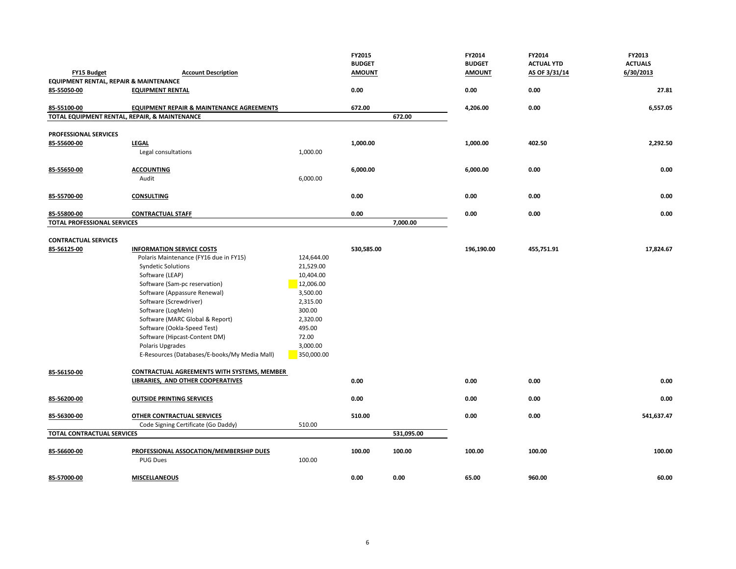|                                                       |                                                      |            | FY2015<br><b>BUDGET</b> |            | FY2014<br><b>BUDGET</b> | FY2014<br><b>ACTUAL YTD</b> | FY2013<br><b>ACTUALS</b> |
|-------------------------------------------------------|------------------------------------------------------|------------|-------------------------|------------|-------------------------|-----------------------------|--------------------------|
| FY15 Budget                                           | <b>Account Description</b>                           |            | <b>AMOUNT</b>           |            | <b>AMOUNT</b>           | AS OF 3/31/14               | 6/30/2013                |
| EQUIPMENT RENTAL, REPAIR & MAINTENANCE<br>85-55050-00 |                                                      |            | 0.00                    |            | 0.00                    | 0.00                        | 27.81                    |
|                                                       | <b>EQUIPMENT RENTAL</b>                              |            |                         |            |                         |                             |                          |
| 85-55100-00                                           | <b>EQUIPMENT REPAIR &amp; MAINTENANCE AGREEMENTS</b> |            | 672.00                  |            | 4,206.00                | 0.00                        | 6,557.05                 |
|                                                       | TOTAL EQUIPMENT RENTAL, REPAIR, & MAINTENANCE        |            |                         | 672.00     |                         |                             |                          |
| PROFESSIONAL SERVICES                                 |                                                      |            |                         |            |                         |                             |                          |
| 85-55600-00                                           | <b>LEGAL</b>                                         |            | 1,000.00                |            | 1,000.00                | 402.50                      | 2,292.50                 |
|                                                       | Legal consultations                                  | 1,000.00   |                         |            |                         |                             |                          |
|                                                       |                                                      |            |                         |            |                         |                             |                          |
| 85-55650-00                                           | <b>ACCOUNTING</b>                                    |            | 6,000.00                |            | 6,000.00                | 0.00                        | 0.00                     |
|                                                       | Audit                                                | 6,000.00   |                         |            |                         |                             |                          |
|                                                       |                                                      |            |                         |            |                         |                             |                          |
| 85-55700-00                                           | <b>CONSULTING</b>                                    |            | 0.00                    |            | 0.00                    | 0.00                        | 0.00                     |
|                                                       |                                                      |            |                         |            |                         |                             |                          |
| 85-55800-00                                           | <b>CONTRACTUAL STAFF</b>                             |            | 0.00                    |            | 0.00                    | 0.00                        | 0.00                     |
| <b>TOTAL PROFESSIONAL SERVICES</b>                    |                                                      |            |                         | 7,000.00   |                         |                             |                          |
|                                                       |                                                      |            |                         |            |                         |                             |                          |
| <b>CONTRACTUAL SERVICES</b><br>85-56125-00            | <b>INFORMATION SERVICE COSTS</b>                     |            | 530,585.00              |            | 196,190.00              | 455,751.91                  | 17,824.67                |
|                                                       | Polaris Maintenance (FY16 due in FY15)               | 124,644.00 |                         |            |                         |                             |                          |
|                                                       | <b>Syndetic Solutions</b>                            | 21,529.00  |                         |            |                         |                             |                          |
|                                                       | Software (LEAP)                                      | 10,404.00  |                         |            |                         |                             |                          |
|                                                       | Software (Sam-pc reservation)                        | 12,006.00  |                         |            |                         |                             |                          |
|                                                       | Software (Appassure Renewal)                         | 3,500.00   |                         |            |                         |                             |                          |
|                                                       | Software (Screwdriver)                               | 2,315.00   |                         |            |                         |                             |                          |
|                                                       | Software (LogMeIn)                                   | 300.00     |                         |            |                         |                             |                          |
|                                                       | Software (MARC Global & Report)                      | 2,320.00   |                         |            |                         |                             |                          |
|                                                       | Software (Ookla-Speed Test)                          | 495.00     |                         |            |                         |                             |                          |
|                                                       | Software (Hipcast-Content DM)                        | 72.00      |                         |            |                         |                             |                          |
|                                                       | Polaris Upgrades                                     | 3,000.00   |                         |            |                         |                             |                          |
|                                                       | E-Resources (Databases/E-books/My Media Mall)        | 350,000.00 |                         |            |                         |                             |                          |
|                                                       |                                                      |            |                         |            |                         |                             |                          |
| 85-56150-00                                           | <b>CONTRACTUAL AGREEMENTS WITH SYSTEMS, MEMBER</b>   |            |                         |            |                         |                             |                          |
|                                                       | <b>LIBRARIES, AND OTHER COOPERATIVES</b>             |            | 0.00                    |            | 0.00                    | 0.00                        | 0.00                     |
|                                                       |                                                      |            |                         |            |                         |                             |                          |
| 85-56200-00                                           | <b>OUTSIDE PRINTING SERVICES</b>                     |            | 0.00                    |            | 0.00                    | 0.00                        | 0.00                     |
|                                                       |                                                      |            |                         |            |                         |                             |                          |
| 85-56300-00                                           | OTHER CONTRACTUAL SERVICES                           |            | 510.00                  |            | 0.00                    | 0.00                        | 541,637.47               |
|                                                       | Code Signing Certificate (Go Daddy)                  | 510.00     |                         |            |                         |                             |                          |
| <b>TOTAL CONTRACTUAL SERVICES</b>                     |                                                      |            |                         | 531,095.00 |                         |                             |                          |
|                                                       | PROFESSIONAL ASSOCATION/MEMBERSHIP DUES              |            | 100.00                  | 100.00     | 100.00                  | 100.00                      | 100.00                   |
| 85-56600-00                                           |                                                      | 100.00     |                         |            |                         |                             |                          |
|                                                       | <b>PUG Dues</b>                                      |            |                         |            |                         |                             |                          |
| 85-57000-00                                           | <b>MISCELLANEOUS</b>                                 |            | 0.00                    | 0.00       | 65.00                   | 960.00                      | 60.00                    |
|                                                       |                                                      |            |                         |            |                         |                             |                          |